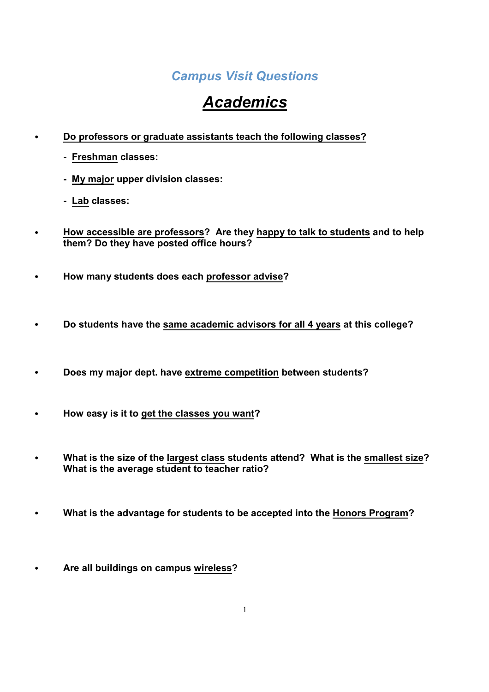#### *Campus Visit Questions*

## *Academics*

- ! **Do professors or graduate assistants teach the following classes?**
	- **Freshman classes:**
	- **My major upper division classes:**
	- **Lab classes:**
- ! **How accessible are professors? Are they happy to talk to students and to help them? Do they have posted office hours?**
- ! **How many students does each professor advise?**
- ! **Do students have the same academic advisors for all 4 years at this college?**
- ! **Does my major dept. have extreme competition between students?**
- ! **How easy is it to get the classes you want?**
- ! **What is the size of the largest class students attend? What is the smallest size? What is the average student to teacher ratio?**
- ! **What is the advantage for students to be accepted into the Honors Program?**
- ! **Are all buildings on campus wireless?**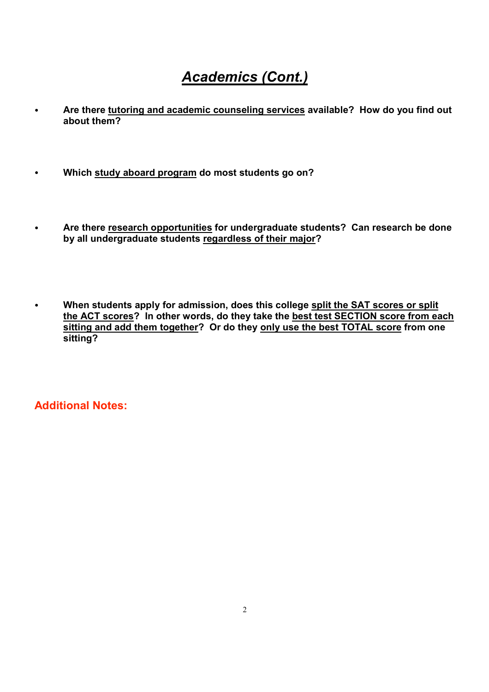#### *Academics (Cont.)*

- ! **Are there tutoring and academic counseling services available? How do you find out about them?**
- ! **Which study aboard program do most students go on?**
- ! **Are there research opportunities for undergraduate students? Can research be done by all undergraduate students regardless of their major?**
- ! **When students apply for admission, does this college split the SAT scores or split the ACT scores? In other words, do they take the best test SECTION score from each sitting and add them together? Or do they only use the best TOTAL score from one sitting?**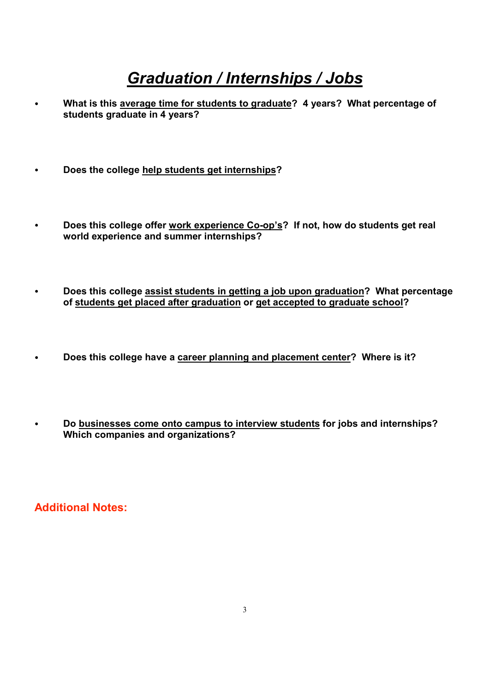### *Graduation / Internships / Jobs*

- ! **What is this average time for students to graduate? 4 years? What percentage of students graduate in 4 years?**
- ! **Does the college help students get internships?**
- Does this college offer work experience Co-op's? If not, how do students get real **world experience and summer internships?**
- ! **Does this college assist students in getting a job upon graduation? What percentage of students get placed after graduation or get accepted to graduate school?**
- ! **Does this college have a career planning and placement center? Where is it?**
- ! **Do businesses come onto campus to interview students for jobs and internships? Which companies and organizations?**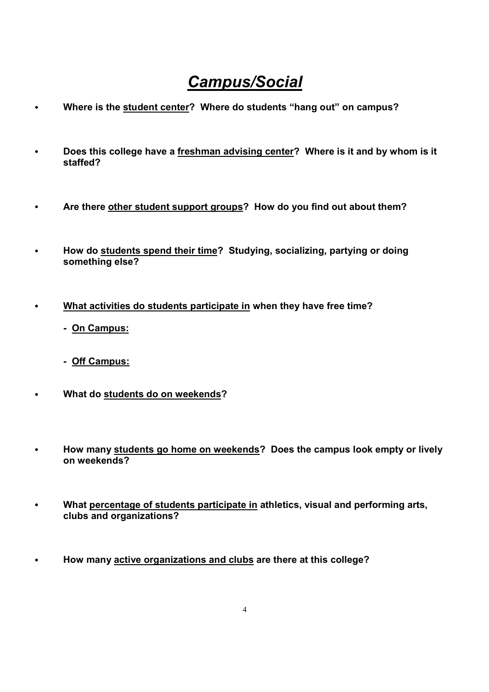### *Campus/Social*

- ! **Where is the student center? Where do students "hang out" on campus?**
- ! **Does this college have a freshman advising center? Where is it and by whom is it staffed?**
- ! **Are there other student support groups? How do you find out about them?**
- ! **How do students spend their time? Studying, socializing, partying or doing something else?**
- ! **What activities do students participate in when they have free time?**
	- **On Campus:**
	- **Off Campus:**
- ! **What do students do on weekends?**
- ! **How many students go home on weekends? Does the campus look empty or lively on weekends?**
- ! **What percentage of students participate in athletics, visual and performing arts, clubs and organizations?**
- ! **How many active organizations and clubs are there at this college?**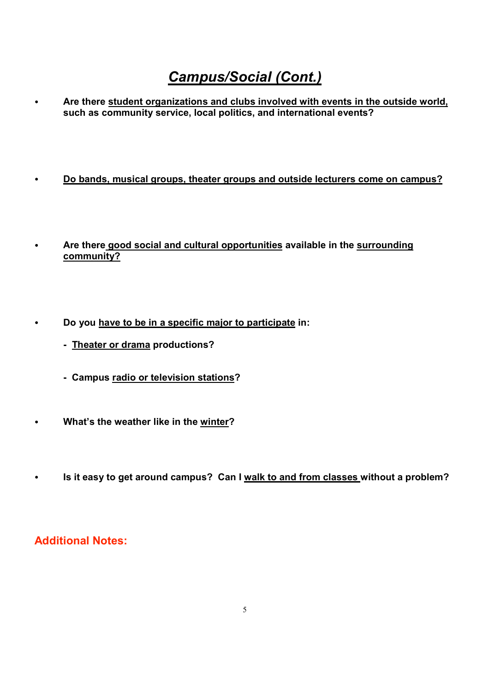#### *Campus/Social (Cont.)*

! **Are there student organizations and clubs involved with events in the outside world, such as community service, local politics, and international events?**

- ! **Do bands, musical groups, theater groups and outside lecturers come on campus?**
- ! **Are there good social and cultural opportunities available in the surrounding community?**
- ! **Do you have to be in a specific major to participate in:**
	- **Theater or drama productions?**
	- **Campus radio or television stations?**
- ! **What's the weather like in the winter?**
- ! **Is it easy to get around campus? Can I walk to and from classes without a problem?**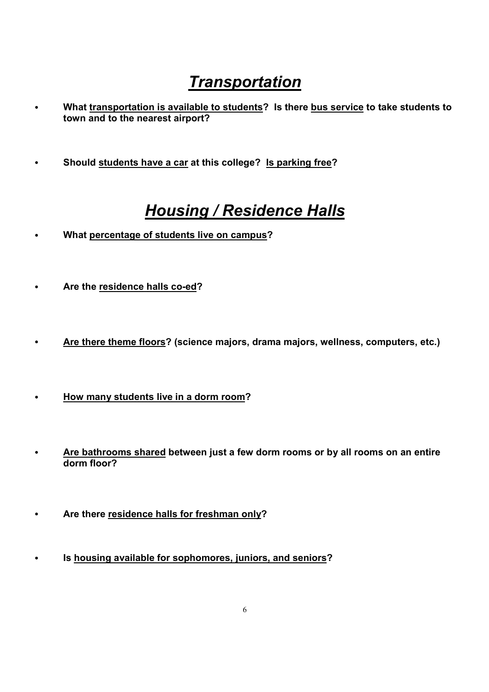## *Transportation*

- ! **What transportation is available to students? Is there bus service to take students to town and to the nearest airport?**
- ! **Should students have a car at this college? Is parking free?**

### *Housing / Residence Halls*

- ! **What percentage of students live on campus?**
- **•** Are the residence halls co-ed?
- ! **Are there theme floors? (science majors, drama majors, wellness, computers, etc.)**
- ! **How many students live in a dorm room?**
- ! **Are bathrooms shared between just a few dorm rooms or by all rooms on an entire dorm floor?**
- ! **Are there residence halls for freshman only?**
- ! **Is housing available for sophomores, juniors, and seniors?**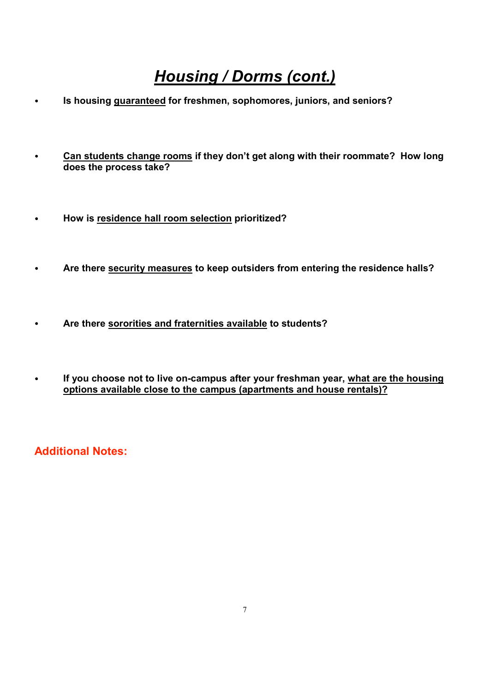# *Housing / Dorms (cont.)*

- ! **Is housing guaranteed for freshmen, sophomores, juniors, and seniors?**
- ! **Can students change rooms if they don't get along with their roommate? How long does the process take?**
- ! **How is residence hall room selection prioritized?**
- ! **Are there security measures to keep outsiders from entering the residence halls?**
- ! **Are there sororities and fraternities available to students?**
- **•** If you choose not to live on-campus after your freshman year, what are the housing **options available close to the campus (apartments and house rentals)?**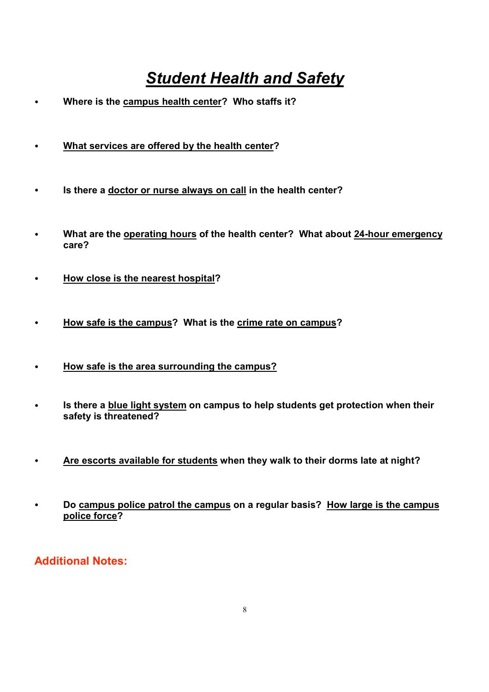# *Student Health and Safety*

- ! **Where is the campus health center? Who staffs it?**
- ! **What services are offered by the health center?**
- ! **Is there a doctor or nurse always on call in the health center?**
- ! **What are the operating hours of the health center? What about 24hour emergency care?**
- ! **How close is the nearest hospital?**
- ! **How safe is the campus? What is the crime rate on campus?**
- ! **How safe is the area surrounding the campus?**
- ! **Is there a blue light system on campus to help students get protection when their safety is threatened?**
- ! **Are escorts available for students when they walk to their dorms late at night?**
- ! **Do campus police patrol the campus on a regular basis? How large is the campus police force?**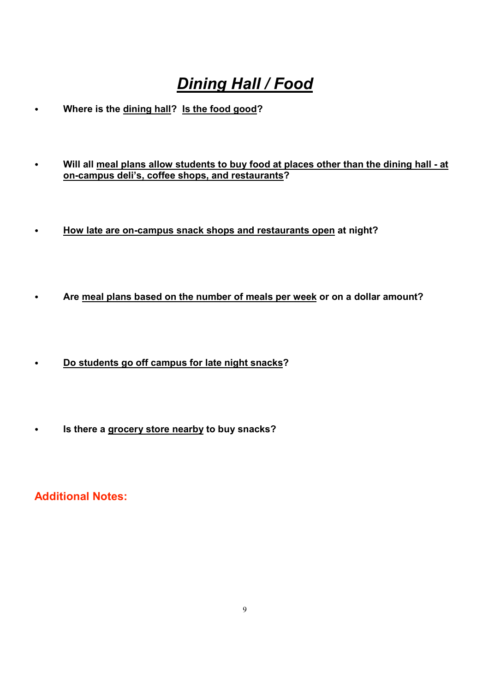# *Dining Hall / Food*

- ! **Where is the dining hall? Is the food good?**
- ! **Will all meal plans allow students to buy food at places other than the dining hall at oncampus deli's, coffee shops, and restaurants?**
- . How late are on-campus snack shops and restaurants open at night?
- ! **Are meal plans based on the number of meals per week or on a dollar amount?**
- ! **Do students go off campus for late night snacks?**
- ! **Is there a grocery store nearby to buy snacks?**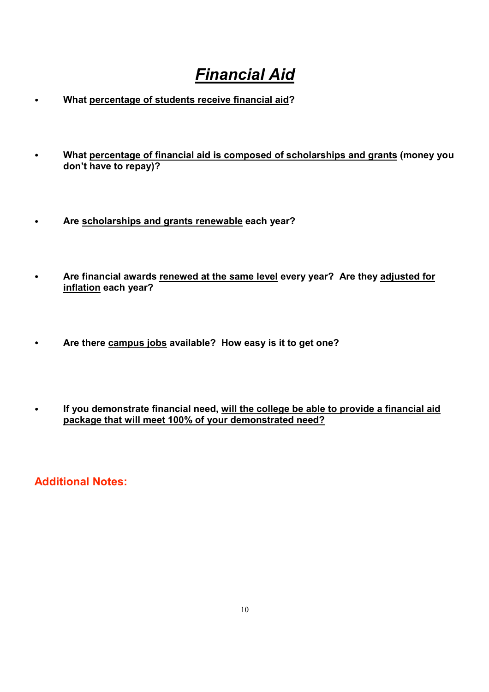# *Financial Aid*

- ! **What percentage of students receive financial aid?**
- ! **What percentage of financial aid is composed of scholarships and grants (money you don't have to repay)?**
- ! **Are scholarships and grants renewable each year?**
- ! **Are financial awards renewed at the same level every year? Are they adjusted for inflation each year?**
- ! **Are there campus jobs available? How easy is it to get one?**
- ! **If you demonstrate financial need, will the college be able to provide a financial aid package that will meet 100% of your demonstrated need?**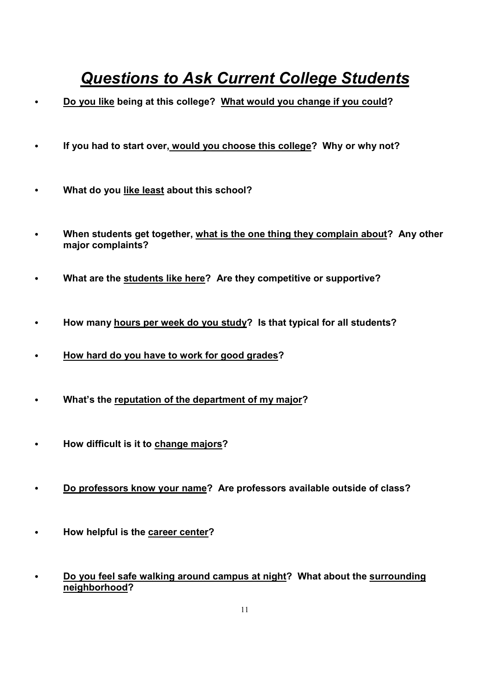## *Questions to Ask Current College Students*

- ! **Do you like being at this college? What would you change if you could?**
- ! **If you had to start over, would you choose this college? Why or why not?**
- ! **What do you like least about this school?**
- ! **When students get together, what is the one thing they complain about? Any other major complaints?**
- ! **What are the students like here? Are they competitive or supportive?**
- ! **How many hours per week do you study? Is that typical for all students?**
- ! **How hard do you have to work for good grades?**
- ! **What's the reputation of the department of my major?**
- ! **How difficult is it to change majors?**
- ! **Do professors know your name? Are professors available outside of class?**
- ! **How helpful is the career center?**
- ! **Do you feel safe walking around campus at night? What about the surrounding neighborhood?**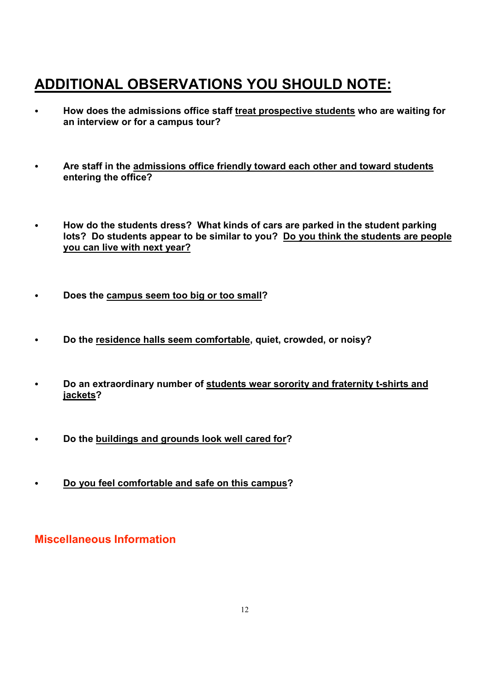#### **ADDITIONAL OBSERVATIONS YOU SHOULD NOTE:**

- ! **How does the admissions office staff treat prospective students who are waiting for an interview or for a campus tour?**
- ! **Are staff in the admissions office friendly toward each other and toward students entering the office?**
- ! **How do the students dress? What kinds of cars are parked in the student parking lots? Do students appear to be similar to you? Do you think the students are people you can live with next year?**
- ! **Does the campus seem too big or too small?**
- ! **Do the residence halls seem comfortable, quiet, crowded, or noisy?**
- $\cdot$  Do an extraordinary number of students wear sorority and fraternity t-shirts and **jackets?**
- ! **Do the buildings and grounds look well cared for?**
- ! **Do you feel comfortable and safe on this campus?**

#### **Miscellaneous Information**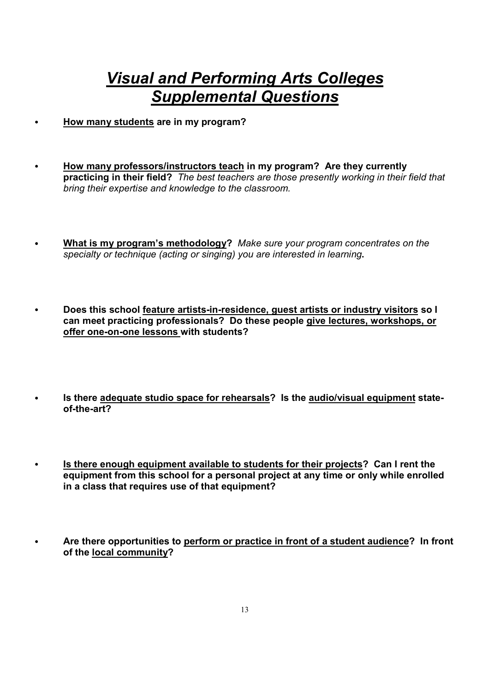#### *Visual and Performing Arts Colleges Supplemental Questions*

- ! **How many students are in my program?**
- ! **How many professors/instructors teach in my program? Are they currently practicing in their field?** *The best teachers are those presently working in their field that bring their expertise and knowledge to the classroom.*
- ! **What is my program's methodology?** *Make sure your program concentrates on the specialty or technique (acting or singing) you are interested in learning***.**
- $\cdot$  Does this school feature artists-in-residence, guest artists or industry visitors so I **can meet practicing professionals? Do these people give lectures, workshops, or** offer one-on-one lessons with students?
- ! **Is there adequate studio space for rehearsals? Is the audio/visual equipment state**of-the-art?
- ! **Is there enough equipment available to students for their projects? Can I rent the equipment from this school for a personal project at any time or only while enrolled in a class that requires use of that equipment?**
- ! **Are there opportunities to perform or practice in front of a student audience? In front of the local community?**